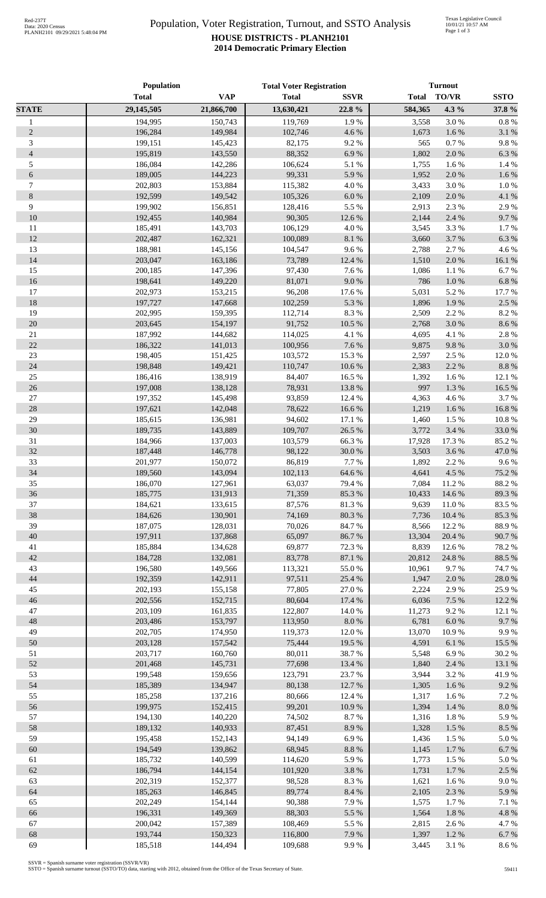## Population, Voter Registration, Turnout, and SSTO Analysis **HOUSE DISTRICTS - PLANH2101 2014 Democratic Primary Election**

|                | Population         |                    | <b>Total Voter Registration</b> |                | <b>Turnout</b>  |                  |                |
|----------------|--------------------|--------------------|---------------------------------|----------------|-----------------|------------------|----------------|
|                | <b>Total</b>       | <b>VAP</b>         | <b>Total</b>                    | <b>SSVR</b>    | <b>Total</b>    | <b>TO/VR</b>     | <b>SSTO</b>    |
| <b>STATE</b>   | 29,145,505         | 21,866,700         | 13,630,421                      | 22.8 %         | 584,365         | 4.3 %            | 37.8 %         |
| $\mathbf{1}$   | 194,995            | 150,743            | 119,769                         | 1.9%           | 3,558           | 3.0%             | 0.8%           |
| $\sqrt{2}$     | 196,284            | 149,984            | 102,746                         | 4.6%           | 1,673           | 1.6%             | 3.1 %          |
| 3              | 199,151            | 145,423            | 82,175                          | 9.2%           | 565             | 0.7 %            | 9.8%           |
| $\overline{4}$ | 195,819            | 143,550            | 88,352                          | 6.9%           | 1,802           | 2.0%             | 6.3%           |
| 5              | 186,084            | 142,286            | 106,624                         | 5.1 %          | 1,755           | 1.6%             | 1.4 %          |
| $\epsilon$     | 189,005            | 144,223            | 99,331                          | 5.9%           | 1,952           | 2.0%             | 1.6%           |
| $\tau$         | 202,803            | 153,884            | 115,382                         | 4.0%           | 3,433           | 3.0%             | 1.0%           |
| $8\,$          | 192,599            | 149,542            | 105,326                         | $6.0\ \%$      | 2,109           | 2.0%             | 4.1 %          |
| 9              | 199,902            | 156,851            | 128,416                         | 5.5 %          | 2,913           | 2.3 %            | 2.9%           |
| 10             | 192,455            | 140,984            | 90,305                          | 12.6 %         | 2,144           | 2.4 %            | 9.7%           |
| 11             | 185,491            | 143,703            | 106,129                         | 4.0%           | 3,545           | 3.3%             | 1.7%           |
| 12             | 202,487            | 162,321            | 100,089                         | $8.1~\%$       | 3,660           | 3.7%             | 6.3%           |
| 13             | 188,981            | 145,156            | 104,547                         | 9.6%           | 2,788           | 2.7%             | 4.6%           |
| 14             | 203,047            | 163,186            | 73,789                          | 12.4 %         | 1,510           | 2.0%             | 16.1 %         |
| 15             | 200,185            | 147,396            | 97,430                          | 7.6%           | 1,086           | 1.1 %            | 6.7%           |
| 16             | 198,641            | 149,220            | 81,071                          | 9.0 %          | 786             | 1.0 %            | 6.8%           |
| 17             | 202,973            | 153,215            | 96,208                          | 17.6 %         | 5,031           | 5.2 %            | 17.7 %         |
| 18             | 197,727            | 147,668            | 102,259                         | 5.3 %          | 1,896           | 1.9%             | 2.5 %          |
| 19             | 202,995            | 159,395            | 112,714                         | $8.3\ \%$      | 2,509           | 2.2 %            | 8.2%           |
| 20             | 203,645            | 154,197            | 91,752                          | 10.5 %         | 2,768           | 3.0%             | 8.6%           |
| $21\,$         | 187,992            | 144,682            | 114,025                         | 4.1 %          | 4,695           | 4.1 %            | 2.8%           |
| 22             | 186,322            | 141,013            | 100,956                         | 7.6 %          | 9,875           | 9.8%             | 3.0%           |
| 23             | 198,405            | 151,425            | 103,572                         | 15.3 %         | 2,597           | 2.5 %            | 12.0%          |
| 24             | 198,848            | 149,421            | 110,747                         | $10.6\,\%$     | 2,383           | 2.2 %            | 8.8%           |
| $25\,$         | 186,416            | 138,919            | 84,407                          | 16.5 %         | 1,392           | 1.6%             | 12.1 %         |
| $26\,$         | 197,008            | 138,128            | 78,931                          | 13.8 %         | 997             | 1.3%             | 16.5 %         |
| $27\,$         | 197,352            | 145,498            | 93,859                          | 12.4 %         | 4,363           | 4.6%             | 3.7%           |
| 28             | 197,621            | 142,048            | 78,622                          | 16.6 %         | 1,219           | 1.6%             | 16.8%          |
| 29             | 185,615            | 136,981            | 94,602                          | 17.1 %         | 1,460           | 1.5 %            | 10.8%          |
| 30             | 189,735            | 143,889            | 109,707                         | 26.5 %         | 3,772           | 3.4 %            | 33.0%          |
| 31             | 184,966            | 137,003            | 103,579                         | 66.3%          | 17,928          | 17.3 %           | 85.2%          |
| 32             | 187,448            | 146,778            | 98,122                          | 30.0 %         | 3,503           | 3.6%             | 47.0%          |
| 33             | 201,977            | 150,072            | 86,819                          | 7.7 %          | 1,892           | 2.2 %            | 9.6%           |
| 34             | 189,560            | 143,094            | 102,113                         | 64.6 %         | 4,641           | 4.5 %            | 75.2 %         |
| 35             | 186,070            | 127,961            | 63,037                          | 79.4 %         | 7,084           | 11.2%            | 88.2%          |
| 36             | 185,775            | 131,913            | 71,359                          | 85.3 %         | 10,433          | 14.6 %           | 89.3%          |
| 37             | 184,621            | 133,615            | 87,576                          | 81.3 %         | 9,639           | $11.0\ \%$       | 83.5%          |
| 38<br>39       | 184,626            | 130,901            | 74,169                          | $80.3\ \%$     | 7,736           | 10.4 %           | 85.3%          |
| 40             | 187,075<br>197,911 | 128,031<br>137,868 | 70,026<br>65,097                | 84.7%<br>86.7% | 8,566<br>13,304 | 12.2 %           | 88.9%<br>90.7% |
| 41             | 185,884            | 134,628            | 69,877                          | 72.3 %         | 8,839           | 20.4 %<br>12.6 % | 78.2%          |
| 42             | 184,728            | 132,081            | 83,778                          | 87.1 %         | 20,812          | 24.8%            | 88.5 %         |
| 43             | 196,580            | 149,566            | 113,321                         | 55.0 %         | 10,961          | 9.7%             | 74.7%          |
| 44             | 192,359            | 142,911            | 97,511                          | 25.4 %         | 1,947           | 2.0 %            | 28.0%          |
| 45             | 202,193            | 155,158            | 77,805                          | 27.0%          | 2,224           | 2.9%             | 25.9%          |
| 46             | 202,556            | 152,715            | 80,604                          | 17.4 %         | 6,036           | 7.5 %            | 12.2 %         |
| $47\,$         | 203,109            | 161,835            | 122,807                         | 14.0%          | 11,273          | 9.2%             | 12.1 %         |
| 48             | 203,486            | 153,797            | 113,950                         | $8.0\ \%$      | 6,781           | 6.0 %            | 9.7%           |
| 49             | 202,705            | 174,950            | 119,373                         | 12.0%          | 13,070          | 10.9%            | 9.9%           |
| 50             | 203,128            | 157,542            | 75,444                          | 19.5 %         | 4,591           | 6.1%             | 15.5 %         |
| 51             | 203,717            | 160,760            | 80,011                          | 38.7%          | 5,548           | 6.9%             | 30.2%          |
| 52             | 201,468            | 145,731            | 77,698                          | 13.4 %         | 1,840           | 2.4 %            | 13.1 %         |
| 53             | 199,548            | 159,656            | 123,791                         | 23.7%          | 3,944           | 3.2%             | 41.9%          |
| 54             | 185,389            | 134,947            | 80,138                          | 12.7 %         | 1,305           | 1.6 %            | 9.2%           |
| 55             | 185,258            | 137,216            | 80,666                          | 12.4 %         | 1,317           | 1.6 %            | 7.2 %          |
| 56             | 199,975            | 152,415            | 99,201                          | 10.9%          | 1,394           | 1.4 %            | 8.0%           |
| 57             | 194,130            | 140,220            | 74,502                          | 8.7%           | 1,316           | 1.8%             | 5.9%           |
| 58             | 189,132            | 140,933            | 87,451                          | 8.9%           | 1,328           | 1.5 %            | 8.5 %          |
| 59             | 195,458            | 152,143            | 94,149                          | 6.9%           | 1,436           | 1.5 %            | 5.0%           |
| 60             | 194,549            | 139,862            | 68,945                          | $8.8\ \%$      | 1,145           | 1.7%             | 6.7%           |
| 61             | 185,732            | 140,599            | 114,620                         | 5.9%           | 1,773           | 1.5 %            | 5.0%           |
| 62             | 186,794            | 144,154            | 101,920                         | $3.8~\%$       | 1,731           | 1.7%             | 2.5 %          |
| 63             | 202,319            | 152,377            | 98,528                          | 8.3%           | 1,621           | 1.6 %            | 9.0%           |
| 64             | 185,263            | 146,845            | 89,774                          | $8.4~\%$       | 2,105           | $2.3~\%$         | 5.9%           |
| 65             | 202,249            | 154,144            | 90,388                          | 7.9%           | 1,575           | 1.7%             | 7.1 %          |
| 66             | 196,331            | 149,369            | 88,303                          | 5.5 %          | 1,564           | $1.8~\%$         | 4.8%           |
| 67             | 200,042            | 157,389            | 108,469                         | 5.5 %          | 2,815           | 2.6 %            | 4.7%           |
| 68             | 193,744            | 150,323            | 116,800                         | 7.9%           | 1,397           | $1.2~\%$         | 6.7%           |
| 69             | 185,518            | 144,494            | 109,688                         | 9.9%           | 3,445           | 3.1 %            | 8.6%           |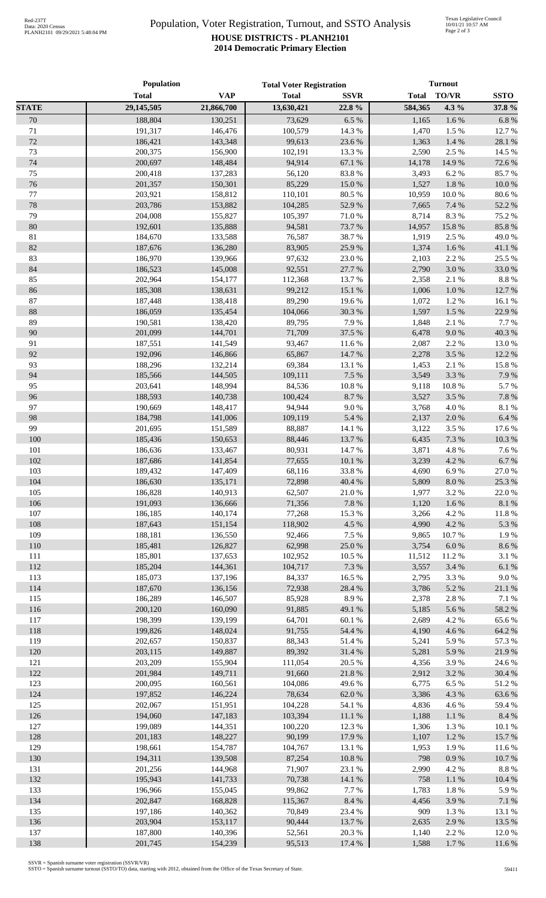## Population, Voter Registration, Turnout, and SSTO Analysis **HOUSE DISTRICTS - PLANH2101 2014 Democratic Primary Election**

|              | Population         |                    | <b>Total Voter Registration</b> |                   | <b>Turnout</b> |                    |                     |
|--------------|--------------------|--------------------|---------------------------------|-------------------|----------------|--------------------|---------------------|
|              | <b>Total</b>       | <b>VAP</b>         | <b>Total</b>                    | <b>SSVR</b>       | <b>Total</b>   | <b>TO/VR</b>       | <b>SSTO</b>         |
| <b>STATE</b> | 29,145,505         | 21,866,700         | 13,630,421                      | 22.8%             | 584,365        | 4.3%               | 37.8%               |
| 70           | 188,804            | 130,251            | 73,629                          | 6.5%              | 1,165          | 1.6%               | 6.8%                |
| 71           | 191,317            | 146,476            | 100,579                         | 14.3 %            | 1,470          | 1.5 %              | 12.7 %              |
| 72           | 186,421            | 143.348            | 99,613                          | 23.6 %            | 1,363          | 1.4%               | 28.1 %              |
| 73           | 200,375            | 156,900            | 102,191                         | 13.3 %            | 2,590          | 2.5 %              | 14.5 %              |
| 74           | 200,697            | 148,484            | 94,914                          | 67.1 %            | 14,178         | 14.9%              | 72.6%               |
| 75<br>76     | 200,418<br>201,357 | 137,283<br>150,301 | 56,120<br>85,229                | 83.8%<br>15.0%    | 3,493<br>1,527 | 6.2%<br>1.8 %      | 85.7%<br>$10.0\ \%$ |
| 77           | 203,921            | 158,812            | 110,101                         | 80.5 %            | 10,959         | 10.0%              | 80.6%               |
| 78           | 203,786            | 153,882            | 104,285                         | 52.9%             | 7,665          | 7.4 %              | 52.2 %              |
| 79           | 204,008            | 155,827            | 105,397                         | 71.0%             | 8,714          | 8.3%               | 75.2 %              |
| 80           | 192,601            | 135,888            | 94,581                          | 73.7 %            | 14,957         | 15.8 %             | 85.8%               |
| $81\,$       | 184,670            | 133,588            | 76,587                          | 38.7%             | 1,919          | 2.5 %              | 49.0%               |
| $82\,$       | 187,676            | 136,280            | 83,905                          | 25.9%             | 1,374          | 1.6 %              | 41.1 %              |
| 83           | 186,970            | 139,966            | 97,632                          | 23.0%             | 2,103          | 2.2 %              | 25.5 %              |
| 84           | 186,523            | 145,008            | 92,551                          | 27.7 %            | 2,790          | 3.0%               | 33.0%               |
| 85           | 202,964            | 154,177            | 112,368                         | 13.7%             | 2,358          | 2.1 %              | 8.8%                |
| 86           | 185,308            | 138,631            | 99,212                          | 15.1 %            | 1,006          | $1.0\ \%$          | 12.7%               |
| 87           | 187,448            | 138,418            | 89,290                          | 19.6%             | 1,072          | 1.2 %              | 16.1%               |
| 88           | 186,059            | 135,454            | 104,066                         | 30.3%             | 1,597          | 1.5 %              | 22.9%               |
| 89           | 190,581            | 138,420            | 89,795                          | 7.9%              | 1,848          | 2.1 %              | 7.7%                |
| 90           | 201,099            | 144,701            | 71,709                          | 37.5 %            | 6,478          | 9.0 %              | 40.3 %              |
| 91           | 187,551            | 141,549            | 93,467                          | 11.6 %            | 2,087          | 2.2 %              | 13.0%               |
| 92           | 192,096            | 146,866            | 65,867                          | 14.7 %            | 2,278          | 3.5%               | 12.2 %              |
| 93           | 188,296            | 132,214            | 69,384                          | 13.1 %            | 1,453          | 2.1 %              | 15.8 %              |
| 94<br>95     | 185,566<br>203,641 | 144,505<br>148,994 | 109,111<br>84,536               | 7.5 %             | 3,549          | 3.3 %              | 7.9%<br>5.7%        |
| 96           | 188,593            | 140,738            | 100,424                         | $10.8~\%$<br>8.7% | 9,118<br>3,527 | $10.8~\%$<br>3.5 % | $7.8~\%$            |
| 97           | 190,669            | 148,417            | 94,944                          | 9.0 %             | 3,768          | 4.0%               | $8.1~\%$            |
| 98           | 184,798            | 141,006            | 109,119                         | 5.4 %             | 2,137          | 2.0 %              | 6.4%                |
| 99           | 201,695            | 151,589            | 88,887                          | 14.1 %            | 3,122          | 3.5%               | 17.6 %              |
| 100          | 185,436            | 150,653            | 88,446                          | 13.7 %            | 6,435          | 7.3 %              | 10.3 %              |
| 101          | 186,636            | 133,467            | 80,931                          | 14.7%             | 3,871          | 4.8 %              | 7.6%                |
| 102          | 187,686            | 141,854            | 77,655                          | 10.1%             | 3,239          | 4.2%               | 6.7%                |
| 103          | 189,432            | 147,409            | 68,116                          | 33.8%             | 4,690          | 6.9%               | 27.0%               |
| 104          | 186,630            | 135,171            | 72,898                          | 40.4 %            | 5,809          | $8.0\ \%$          | 25.3 %              |
| 105          | 186,828            | 140,913            | 62,507                          | 21.0%             | 1,977          | 3.2 %              | 22.0%               |
| 106          | 191,093            | 136,666            | 71,356                          | 7.8 %             | 1,120          | 1.6 %              | $8.1~\%$            |
| 107          | 186,185            | 140,174            | 77,268                          | 15.3 %            | 3,266          | 4.2%               | $11.8~\%$           |
| 108          | 187,643            | 151,154            | 118,902                         | 4.5 %             | 4,990          | 4.2 %              | 5.3 %               |
| 109          | 188,181            | 136,550            | 92,466                          | 7.5 %             | 9,865          | 10.7%              | 1.9%                |
| 110          | 185,481            | 126,827            | 62,998                          | 25.0%             | 3,754          | $6.0\ \%$          | 8.6 %               |
| 111          | 185,801<br>185,204 | 137,653            | 102,952                         | 10.5 %            | 11,512         | 11.2%              | 3.1 %               |
| 112<br>113   | 185,073            | 144,361<br>137,196 | 104,717<br>84,337               | 7.3 %<br>16.5%    | 3,557<br>2,795 | 3.4 %<br>3.3 %     | 6.1%<br>9.0%        |
| 114          | 187,670            | 136,156            | 72,938                          | 28.4 %            | 3,786          | 5.2 %              | $21.1\text{ }\%$    |
| 115          | 186,289            | 146,507            | 85,928                          | 8.9%              | 2,378          | 2.8%               | 7.1 %               |
| 116          | 200,120            | 160,090            | 91,885                          | 49.1 %            | 5,185          | 5.6%               | 58.2 %              |
| 117          | 198,399            | 139,199            | 64,701                          | 60.1 %            | 2,689          | 4.2 %              | 65.6%               |
| 118          | 199,826            | 148,024            | 91,755                          | 54.4 %            | 4,190          | 4.6 %              | 64.2 %              |
| 119          | 202,657            | 150,837            | 88,343                          | 51.4%             | 5,241          | 5.9%               | 57.3 %              |
| 120          | 203,115            | 149,887            | 89,392                          | 31.4%             | 5,281          | 5.9%               | 21.9%               |
| 121          | 203,209            | 155,904            | 111,054                         | 20.5 %            | 4,356          | 3.9%               | 24.6 %              |
| 122          | 201,984            | 149,711            | 91,660                          | 21.8%             | 2,912          | 3.2%               | 30.4 %              |
| 123          | 200,095            | 160,561            | 104,086                         | 49.6%             | 6,775          | 6.5%               | 51.2%               |
| 124          | 197,852            | 146,224            | 78,634                          | 62.0%             | 3,386          | 4.3 %              | 63.6%               |
| 125          | 202,067            | 151,951            | 104,228                         | 54.1 %            | 4,836          | 4.6%               | 59.4%               |
| 126          | 194,060            | 147,183            | 103,394                         | $11.1\ \%$        | 1,188          | $1.1~\%$           | 8.4%                |
| 127          | 199,089            | 144,351            | 100,220                         | 12.3 %            | 1,306          | 1.3 %              | 10.1 %              |
| 128          | 201,183            | 148,227            | 90,199                          | 17.9%             | 1,107          | 1.2%               | 15.7%               |
| 129          | 198,661            | 154,787            | 104,767                         | 13.1 %            | 1,953          | 1.9%               | 11.6%               |
| 130          | 194,311            | 139,508            | 87,254                          | 10.8 %            | 798            | $0.9\ \%$          | 10.7%               |
| 131          | 201,256            | 144,968            | 71,907                          | 23.1 %            | 2,990          | 4.2 %              | 8.8 %               |
| 132          | 195,943            | 141,733            | 70,738                          | 14.1 %            | 758            | $1.1~\%$           | 10.4 %              |
| 133          | 196,966            | 155,045            | 99,862                          | 7.7 %             | 1,783          | $1.8\ \%$          | 5.9%                |
| 134<br>135   | 202,847<br>197,186 | 168,828<br>140,362 | 115,367<br>70,849               | 8.4 %<br>23.4 %   | 4,456<br>909   | 3.9%<br>1.3%       | $7.1~\%$<br>13.1 %  |
| 136          | 203,904            | 153,117            | 90,444                          | 13.7%             | 2,635          | 2.9%               | 13.5 %              |
| 137          | 187,800            | 140,396            | 52,561                          | 20.3 %            | 1,140          | 2.2 %              | 12.0%               |
| 138          | 201,745            | 154,239            | 95,513                          | 17.4 %            | 1,588          | 1.7%               | 11.6%               |